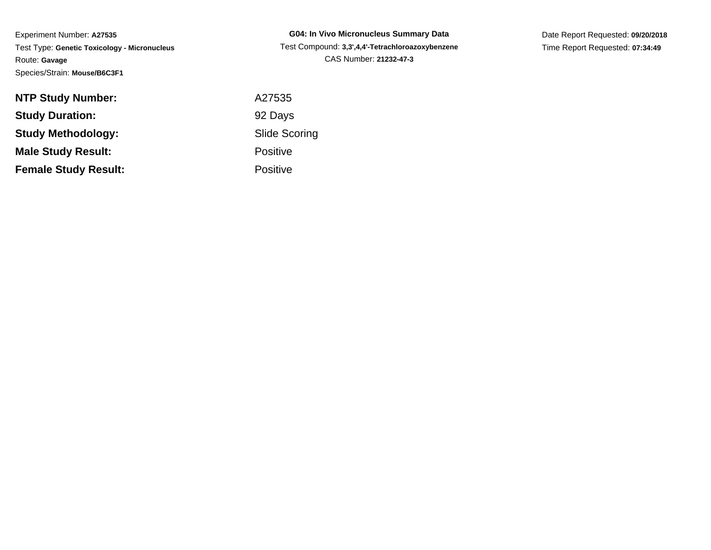| <b>G04: In Vivo Micronucleus Summary Data</b>    |
|--------------------------------------------------|
| Test Compound: 3,3',4,4'-Tetrachloroazoxybenzene |
| CAS Number: 21232-47-3                           |

Date Report Requested: **09/20/2018**Time Report Requested: **07:34:49**

| <b>NTP Study Number:</b>    | A27535               |
|-----------------------------|----------------------|
| <b>Study Duration:</b>      | 92 Days              |
| <b>Study Methodology:</b>   | <b>Slide Scoring</b> |
| <b>Male Study Result:</b>   | <b>Positive</b>      |
| <b>Female Study Result:</b> | <b>Positive</b>      |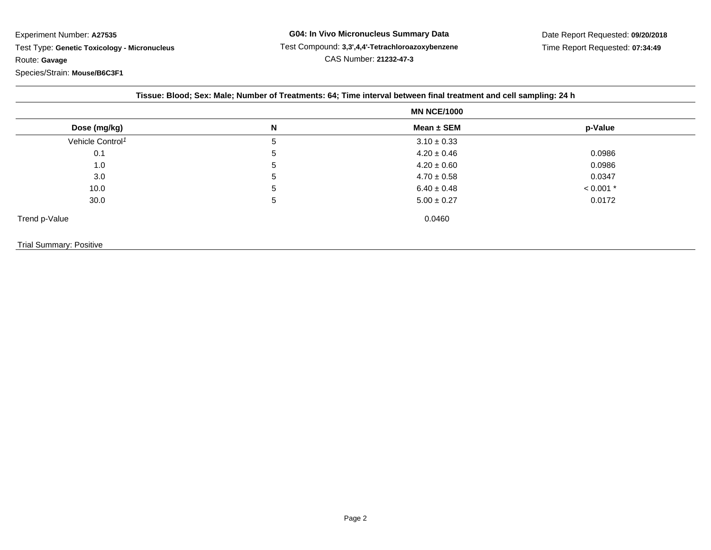**G04: In Vivo Micronucleus Summary Data** Test Compound: **3,3',4,4'-Tetrachloroazoxybenzene**CAS Number: **21232-47-3**

Date Report Requested: **09/20/2018**Time Report Requested: **07:34:49**

|                              | <b>MN NCE/1000</b> |                 |             |  |
|------------------------------|--------------------|-----------------|-------------|--|
| Dose (mg/kg)                 | N                  | Mean $\pm$ SEM  | p-Value     |  |
| Vehicle Control <sup>1</sup> | 5                  | $3.10 \pm 0.33$ |             |  |
| 0.1                          | 5                  | $4.20 \pm 0.46$ | 0.0986      |  |
| 1.0                          | 5                  | $4.20 \pm 0.60$ | 0.0986      |  |
| 3.0                          | 5                  | $4.70 \pm 0.58$ | 0.0347      |  |
| 10.0                         | 5                  | $6.40 \pm 0.48$ | $< 0.001$ * |  |
| 30.0                         | 5                  | $5.00 \pm 0.27$ | 0.0172      |  |
| Trend p-Value                |                    | 0.0460          |             |  |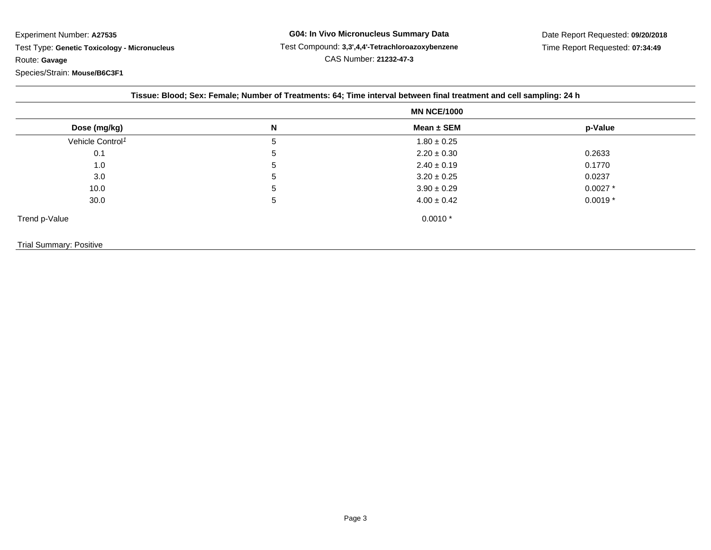**G04: In Vivo Micronucleus Summary Data** Test Compound: **3,3',4,4'-Tetrachloroazoxybenzene**CAS Number: **21232-47-3**

Date Report Requested: **09/20/2018**Time Report Requested: **07:34:49**

|                              | <b>MN NCE/1000</b> |                 |            |
|------------------------------|--------------------|-----------------|------------|
| Dose (mg/kg)                 | N                  | Mean ± SEM      | p-Value    |
| Vehicle Control <sup>1</sup> | 5                  | $1.80 \pm 0.25$ |            |
| 0.1                          | 5                  | $2.20 \pm 0.30$ | 0.2633     |
| 1.0                          | 5                  | $2.40 \pm 0.19$ | 0.1770     |
| 3.0                          | 5                  | $3.20 \pm 0.25$ | 0.0237     |
| 10.0                         | 5                  | $3.90 \pm 0.29$ | $0.0027$ * |
| 30.0                         | 5                  | $4.00 \pm 0.42$ | $0.0019*$  |
| Trend p-Value                |                    | $0.0010*$       |            |